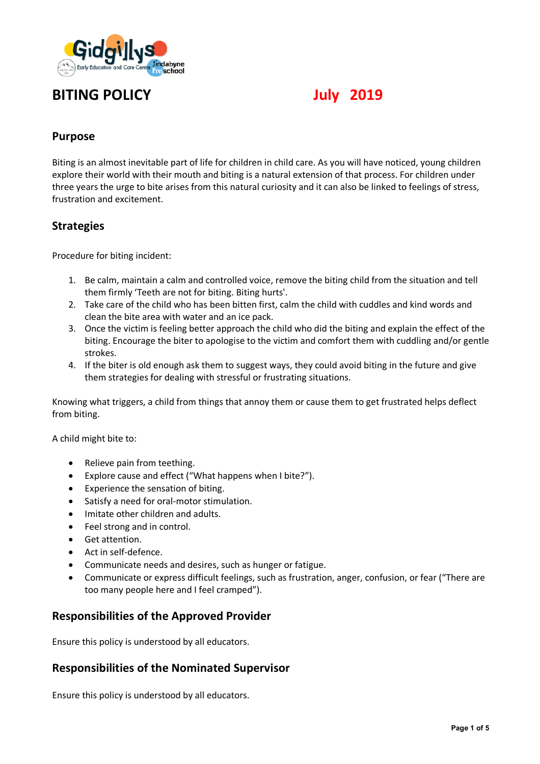

# **BITING POLICY July 2019**

## **Purpose**

Biting is an almost inevitable part of life for children in child care. As you will have noticed, young children explore their world with their mouth and biting is a natural extension of that process. For children under three years the urge to bite arises from this natural curiosity and it can also be linked to feelings of stress, frustration and excitement.

### **Strategies**

Procedure for biting incident:

- 1. Be calm, maintain a calm and controlled voice, remove the biting child from the situation and tell them firmly 'Teeth are not for biting. Biting hurts'.
- 2. Take care of the child who has been bitten first, calm the child with cuddles and kind words and clean the bite area with water and an ice pack.
- 3. Once the victim is feeling better approach the child who did the biting and explain the effect of the biting. Encourage the biter to apologise to the victim and comfort them with cuddling and/or gentle strokes.
- 4. If the biter is old enough ask them to suggest ways, they could avoid biting in the future and give them strategies for dealing with stressful or frustrating situations.

Knowing what triggers, a child from things that annoy them or cause them to get frustrated helps deflect from biting.

A child might bite to:

- Relieve pain from teething.
- Explore cause and effect ("What happens when I bite?").
- Experience the sensation of biting.
- Satisfy a need for oral-motor stimulation.
- Imitate other children and adults.
- Feel strong and in control.
- Get attention.
- Act in self-defence.
- Communicate needs and desires, such as hunger or fatigue.
- Communicate or express difficult feelings, such as frustration, anger, confusion, or fear ("There are too many people here and I feel cramped").

## **Responsibilities of the Approved Provider**

Ensure this policy is understood by all educators.

## **Responsibilities of the Nominated Supervisor**

Ensure this policy is understood by all educators.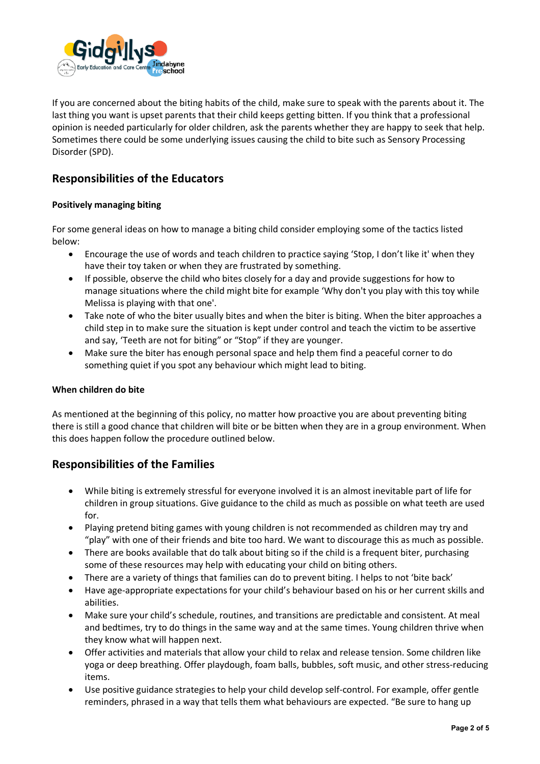

If you are concerned about the biting habits of the child, make sure to speak with the parents about it. The last thing you want is upset parents that their child keeps getting bitten. If you think that a professional opinion is needed particularly for older children, ask the parents whether they are happy to seek that help. Sometimes there could be some underlying issues causing the child to bite such as Sensory Processing Disorder (SPD).

## **Responsibilities of the Educators**

#### **Positively managing biting**

For some general ideas on how to manage a biting child consider employing some of the tactics listed below:

- Encourage the use of words and teach children to practice saying 'Stop, I don't like it' when they have their toy taken or when they are frustrated by something.
- If possible, observe the child who bites closely for a day and provide suggestions for how to manage situations where the child might bite for example 'Why don't you play with this toy while Melissa is playing with that one'.
- Take note of who the biter usually bites and when the biter is biting. When the biter approaches a child step in to make sure the situation is kept under control and teach the victim to be assertive and say, 'Teeth are not for biting" or "Stop" if they are younger.
- Make sure the biter has enough personal space and help them find a peaceful corner to do something quiet if you spot any behaviour which might lead to biting.

#### **When children do bite**

As mentioned at the beginning of this policy, no matter how proactive you are about preventing biting there is still a good chance that children will bite or be bitten when they are in a group environment. When this does happen follow the procedure outlined below.

## **Responsibilities of the Families**

- While biting is extremely stressful for everyone involved it is an almost inevitable part of life for children in group situations. Give guidance to the child as much as possible on what teeth are used for.
- Playing pretend biting games with young children is not recommended as children may try and "play" with one of their friends and bite too hard. We want to discourage this as much as possible.
- There are books available that do talk about biting so if the child is a frequent biter, purchasing some of these resources may help with educating your child on biting others.
- There are a variety of things that families can do to prevent biting. I helps to not 'bite back'
- Have age-appropriate expectations for your child's behaviour based on his or her current skills and abilities.
- Make sure your child's schedule, routines, and transitions are predictable and consistent. At meal and bedtimes, try to do things in the same way and at the same times. Young children thrive when they know what will happen next.
- Offer activities and materials that allow your child to relax and release tension. Some children like yoga or deep breathing. Offer playdough, foam balls, bubbles, soft music, and other stress-reducing items.
- Use positive guidance strategies to help your child develop self-control. For example, offer gentle reminders, phrased in a way that tells them what behaviours are expected. "Be sure to hang up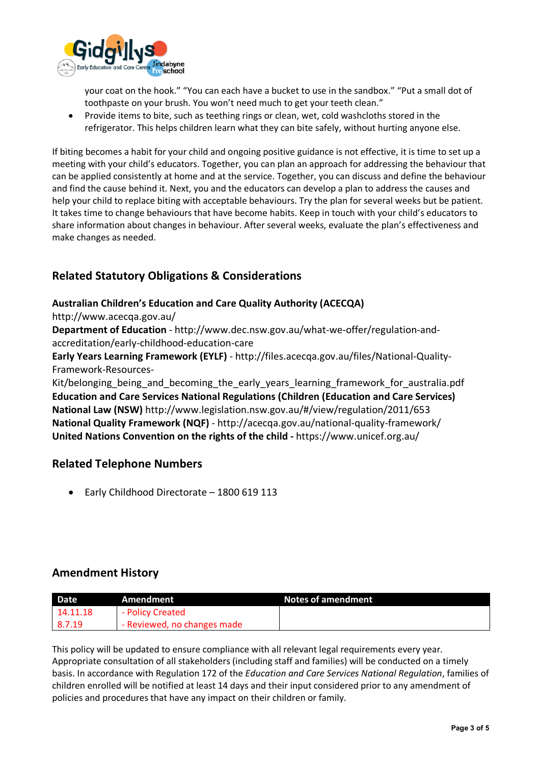

your coat on the hook." "You can each have a bucket to use in the sandbox." "Put a small dot of toothpaste on your brush. You won't need much to get your teeth clean."

• Provide items to bite, such as teething rings or clean, wet, cold washcloths stored in the refrigerator. This helps children learn what they can bite safely, without hurting anyone else.

If biting becomes a habit for your child and ongoing positive guidance is not effective, it is time to set up a meeting with your child's educators. Together, you can plan an approach for addressing the behaviour that can be applied consistently at home and at the service. Together, you can discuss and define the behaviour and find the cause behind it. Next, you and the educators can develop a plan to address the causes and help your child to replace biting with acceptable behaviours. Try the plan for several weeks but be patient. It takes time to change behaviours that have become habits. Keep in touch with your child's educators to share information about changes in behaviour. After several weeks, evaluate the plan's effectiveness and make changes as needed.

## **Related Statutory Obligations & Considerations**

#### **Australian Children's Education and Care Quality Authority (ACECQA)**

http://www.acecqa.gov.au/

**Department of Education** - http://www.dec.nsw.gov.au/what-we-offer/regulation-andaccreditation/early-childhood-education-care

**Early Years Learning Framework (EYLF)** - http://files.acecqa.gov.au/files/National-Quality-Framework-Resources-

Kit/belonging being and becoming the early years learning framework for australia.pdf **Education and Care Services National Regulations (Children (Education and Care Services) National Law (NSW)** http://www.legislation.nsw.gov.au/#/view/regulation/2011/653 **National Quality Framework (NQF)** - http://acecqa.gov.au/national-quality-framework/ **United Nations Convention on the rights of the child -** https://www.unicef.org.au/

## **Related Telephone Numbers**

• Early Childhood Directorate – 1800 619 113

## **Amendment History**

| Date     | Amendment                   | Notes of amendment |
|----------|-----------------------------|--------------------|
| 14.11.18 | - Policy Created            |                    |
| 8.7.19   | - Reviewed, no changes made |                    |

This policy will be updated to ensure compliance with all relevant legal requirements every year. Appropriate consultation of all stakeholders (including staff and families) will be conducted on a timely basis. In accordance with Regulation 172 of the *Education and Care Services National Regulation*, families of children enrolled will be notified at least 14 days and their input considered prior to any amendment of policies and procedures that have any impact on their children or family.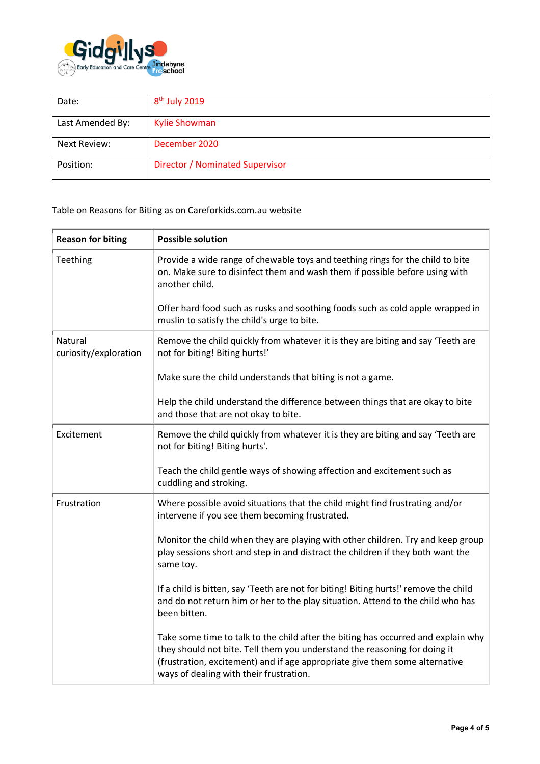

| Date:            | $8th$ July 2019                 |
|------------------|---------------------------------|
| Last Amended By: | <b>Kylie Showman</b>            |
| Next Review:     | December 2020                   |
| Position:        | Director / Nominated Supervisor |

Table on Reasons for Biting as on Careforkids.com.au website

| <b>Reason for biting</b>         | <b>Possible solution</b>                                                                                                                                                                                                                                                                 |
|----------------------------------|------------------------------------------------------------------------------------------------------------------------------------------------------------------------------------------------------------------------------------------------------------------------------------------|
| Teething                         | Provide a wide range of chewable toys and teething rings for the child to bite<br>on. Make sure to disinfect them and wash them if possible before using with<br>another child.                                                                                                          |
|                                  | Offer hard food such as rusks and soothing foods such as cold apple wrapped in<br>muslin to satisfy the child's urge to bite.                                                                                                                                                            |
| Natural<br>curiosity/exploration | Remove the child quickly from whatever it is they are biting and say 'Teeth are<br>not for biting! Biting hurts!'                                                                                                                                                                        |
|                                  | Make sure the child understands that biting is not a game.                                                                                                                                                                                                                               |
|                                  | Help the child understand the difference between things that are okay to bite<br>and those that are not okay to bite.                                                                                                                                                                    |
| Excitement                       | Remove the child quickly from whatever it is they are biting and say 'Teeth are<br>not for biting! Biting hurts'.                                                                                                                                                                        |
|                                  | Teach the child gentle ways of showing affection and excitement such as<br>cuddling and stroking.                                                                                                                                                                                        |
| Frustration                      | Where possible avoid situations that the child might find frustrating and/or<br>intervene if you see them becoming frustrated.                                                                                                                                                           |
|                                  | Monitor the child when they are playing with other children. Try and keep group<br>play sessions short and step in and distract the children if they both want the<br>same toy.                                                                                                          |
|                                  | If a child is bitten, say 'Teeth are not for biting! Biting hurts!' remove the child<br>and do not return him or her to the play situation. Attend to the child who has<br>been bitten.                                                                                                  |
|                                  | Take some time to talk to the child after the biting has occurred and explain why<br>they should not bite. Tell them you understand the reasoning for doing it<br>(frustration, excitement) and if age appropriate give them some alternative<br>ways of dealing with their frustration. |